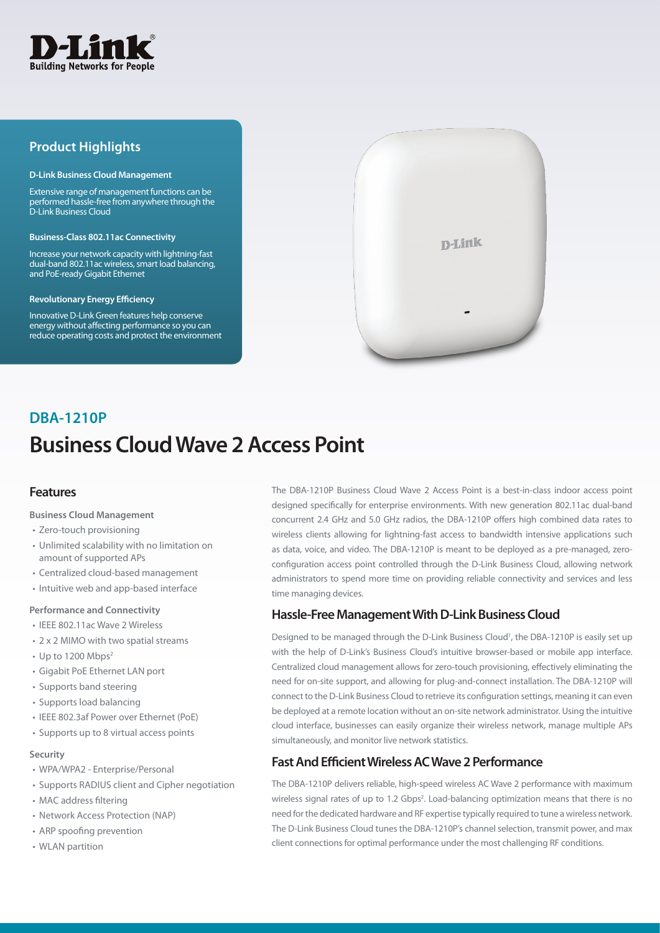

# **Product Highlights**

#### **D-Link Business Cloud Management**

Extensive range of management functions can be performed hassle-free from anywhere through the D-Link Business Cloud

#### **Business-Class 802.11ac Connectivity**

Increase your network capacity with lightning-fast dual-band 802.11ac wireless, smart load balancing, and PoE-ready Gigabit Ethernet

#### **Revolutionary Energy Efficiency**

Innovative D-Link Green features help conserve energy without affecting performance so you can reduce operating costs and protect the environment



# **Business Cloud Wave 2 Access Point DBA-1210P**

## **Features**

#### **Business Cloud Management**

- • Zero-touch provisioning
- • Unlimited scalability with no limitation on amount of supported APs
- Centralized cloud-based management
- Intuitive web and app-based interface

#### **Performance and Connectivity**

- IEEE 802.11ac Wave 2 Wireless
- 2 x 2 MIMO with two spatial streams
- Up to 1200 Mbps<sup>2</sup>
- • Gigabit PoE Ethernet LAN port
- • Supports band steering
- Supports load balancing
- • IEEE 802.3af Power over Ethernet (PoE)
- Supports up to 8 virtual access points

#### **Security**

- • WPA/WPA2 Enterprise/Personal
- Supports RADIUS client and Cipher negotiation
- MAC address filtering
- Network Access Protection (NAP)
- ARP spoofing prevention
- WLAN partition

The DBA-1210P Business Cloud Wave 2 Access Point is a best-in-class indoor access point designed specifically for enterprise environments. With new generation 802.11ac dual-band concurrent 2.4 GHz and 5.0 GHz radios, the DBA-1210P offers high combined data rates to wireless clients allowing for lightning-fast access to bandwidth intensive applications such as data, voice, and video. The DBA-1210P is meant to be deployed as a pre-managed, zeroconfiguration access point controlled through the D-Link Business Cloud, allowing network administrators to spend more time on providing reliable connectivity and services and less time managing devices.

## **Hassle-Free Management With D-Link Business Cloud**

Designed to be managed through the D-Link Business Cloud<sup>1</sup>, the DBA-1210P is easily set up with the help of D-Link's Business Cloud's intuitive browser-based or mobile app interface. Centralized cloud management allows for zero-touch provisioning, effectively eliminating the need for on-site support, and allowing for plug-and-connect installation. The DBA-1210P will connect to the D-Link Business Cloud to retrieve its configuration settings, meaning it can even be deployed at a remote location without an on-site network administrator. Using the intuitive cloud interface, businesses can easily organize their wireless network, manage multiple APs simultaneously, and monitor live network statistics.

## **Fast And Efficient Wireless AC Wave 2 Performance**

The DBA-1210P delivers reliable, high-speed wireless AC Wave 2 performance with maximum wireless signal rates of up to 1.2 Gbps<sup>2</sup>. Load-balancing optimization means that there is no need for the dedicated hardware and RF expertise typically required to tune a wireless network. The D-Link Business Cloud tunes the DBA-1210P's channel selection, transmit power, and max client connections for optimal performance under the most challenging RF conditions.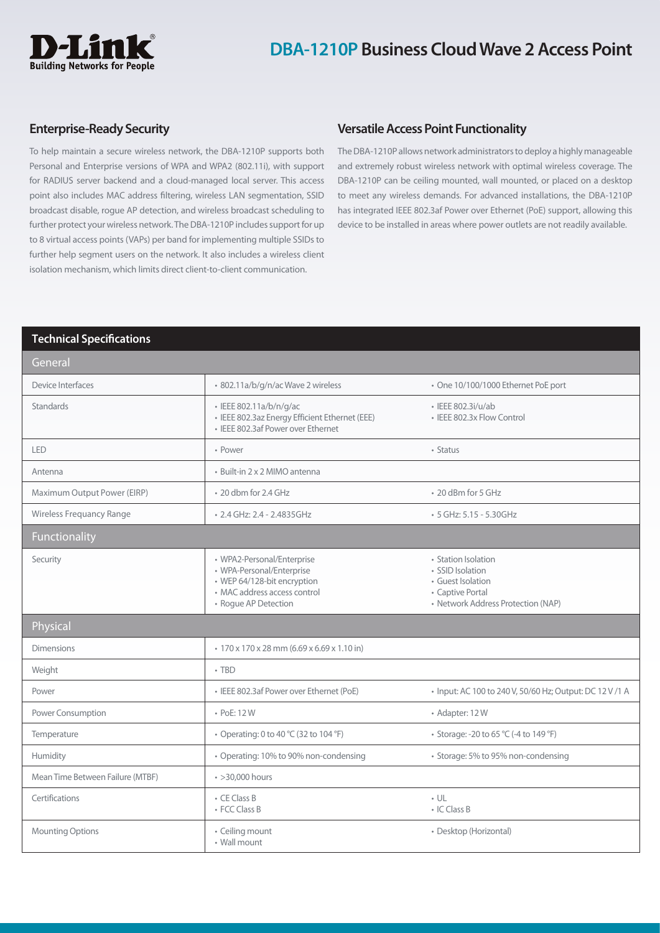

## **Enterprise-Ready Security**

To help maintain a secure wireless network, the DBA-1210P supports both Personal and Enterprise versions of WPA and WPA2 (802.11i), with support for RADIUS server backend and a cloud-managed local server. This access point also includes MAC address filtering, wireless LAN segmentation, SSID broadcast disable, rogue AP detection, and wireless broadcast scheduling to further protect your wireless network. The DBA-1210P includes support for up to 8 virtual access points (VAPs) per band for implementing multiple SSIDs to further help segment users on the network. It also includes a wireless client isolation mechanism, which limits direct client-to-client communication.

## **Versatile Access Point Functionality**

The DBA-1210P allows network administrators to deploy a highly manageable and extremely robust wireless network with optimal wireless coverage. The DBA-1210P can be ceiling mounted, wall mounted, or placed on a desktop to meet any wireless demands. For advanced installations, the DBA-1210P has integrated IEEE 802.3af Power over Ethernet (PoE) support, allowing this device to be installed in areas where power outlets are not readily available.

### **Technical Specifications**

| General                          |                                                                                                                                                |                                                                                                                        |
|----------------------------------|------------------------------------------------------------------------------------------------------------------------------------------------|------------------------------------------------------------------------------------------------------------------------|
| Device Interfaces                | · 802.11a/b/g/n/ac Wave 2 wireless                                                                                                             | • One 10/100/1000 Ethernet PoE port                                                                                    |
| <b>Standards</b>                 | · IEEE 802.11a/b/n/g/ac<br>· IEEE 802.3az Energy Efficient Ethernet (EEE)<br>· IEEE 802.3af Power over Ethernet                                | · IEEE 802.3i/u/ab<br>• IEEE 802.3x Flow Control                                                                       |
| LED                              | • Power                                                                                                                                        | • Status                                                                                                               |
| Antenna                          | · Built-in 2 x 2 MIMO antenna                                                                                                                  |                                                                                                                        |
| Maximum Output Power (EIRP)      | • 20 dbm for 2.4 GHz                                                                                                                           | • 20 dBm for 5 GHz                                                                                                     |
| Wireless Frequancy Range         | • 2.4 GHz: 2.4 - 2.4835GHz                                                                                                                     | • 5 GHz: 5.15 - 5.30GHz                                                                                                |
| Functionality                    |                                                                                                                                                |                                                                                                                        |
| Security                         | • WPA2-Personal/Enterprise<br>• WPA-Personal/Enterprise<br>• WEP 64/128-bit encryption<br>• MAC address access control<br>• Rogue AP Detection | • Station Isolation<br>• SSID Isolation<br>• Guest Isolation<br>• Captive Portal<br>• Network Address Protection (NAP) |
| Physical                         |                                                                                                                                                |                                                                                                                        |
| <b>Dimensions</b>                | • 170 x 170 x 28 mm (6.69 x 6.69 x 1.10 in)                                                                                                    |                                                                                                                        |
| Weight                           | $\cdot$ TBD                                                                                                                                    |                                                                                                                        |
| Power                            | • IEEE 802.3af Power over Ethernet (PoE)                                                                                                       | • Input: AC 100 to 240 V, 50/60 Hz; Output: DC 12 V /1 A                                                               |
| Power Consumption                | • PoE: 12W                                                                                                                                     | • Adapter: 12W                                                                                                         |
| Temperature                      | • Operating: 0 to 40 °C (32 to 104 °F)                                                                                                         | • Storage: -20 to 65 °C (-4 to 149 °F)                                                                                 |
| Humidity                         | • Operating: 10% to 90% non-condensing                                                                                                         | • Storage: 5% to 95% non-condensing                                                                                    |
| Mean Time Between Failure (MTBF) | $\cdot$ >30,000 hours                                                                                                                          |                                                                                                                        |
| Certifications                   | • CE Class B<br>• FCC Class B                                                                                                                  | $\cdot$ UL<br>• IC Class B                                                                                             |
| <b>Mounting Options</b>          | • Ceiling mount<br>• Wall mount                                                                                                                | • Desktop (Horizontal)                                                                                                 |